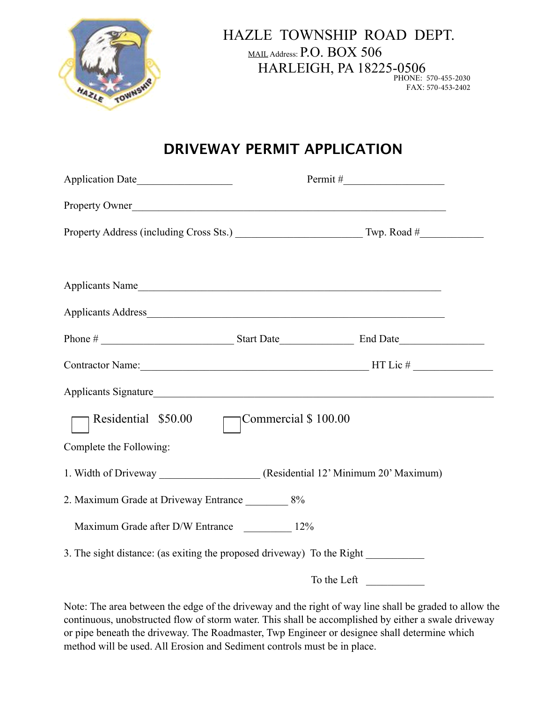

 HAZLE TOWNSHIP ROAD DEPT. MAIL Address:  $P.O.$   $\rm{BOX}$  506 HARLEIGH, PA 18225-0506 PHONE: 570-455-2030 FAX: 570-453-2402

## **DRIVEWAY PERMIT APPLICATION**

| Application Date                                                                 |                      |  |  |  |  |
|----------------------------------------------------------------------------------|----------------------|--|--|--|--|
| Property Owner                                                                   |                      |  |  |  |  |
|                                                                                  |                      |  |  |  |  |
| Applicants Name                                                                  |                      |  |  |  |  |
|                                                                                  |                      |  |  |  |  |
| Phone #                                                                          |                      |  |  |  |  |
|                                                                                  |                      |  |  |  |  |
|                                                                                  |                      |  |  |  |  |
| Residential \$50.00                                                              | Commercial \$ 100.00 |  |  |  |  |
| Complete the Following:                                                          |                      |  |  |  |  |
| 1. Width of Driveway __________________(Residential 12' Minimum 20' Maximum)     |                      |  |  |  |  |
| 2. Maximum Grade at Driveway Entrance ___________ 8%                             |                      |  |  |  |  |
| Maximum Grade after D/W Entrance ___________ 12%                                 |                      |  |  |  |  |
| 3. The sight distance: (as exiting the proposed driveway) To the Right _________ |                      |  |  |  |  |
|                                                                                  | To the Left          |  |  |  |  |

Note: The area between the edge of the driveway and the right of way line shall be graded to allow the continuous, unobstructed flow of storm water. This shall be accomplished by either a swale driveway or pipe beneath the driveway. The Roadmaster, Twp Engineer or designee shall determine which method will be used. All Erosion and Sediment controls must be in place.